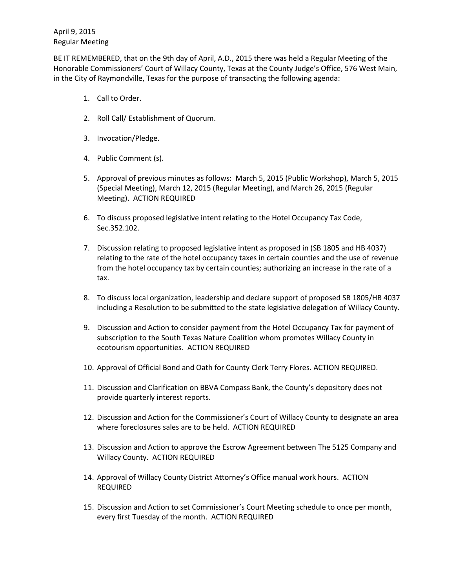BE IT REMEMBERED, that on the 9th day of April, A.D., 2015 there was held a Regular Meeting of the Honorable Commissioners' Court of Willacy County, Texas at the County Judge's Office, 576 West Main, in the City of Raymondville, Texas for the purpose of transacting the following agenda:

- 1. Call to Order.
- 2. Roll Call/ Establishment of Quorum.
- 3. Invocation/Pledge.
- 4. Public Comment (s).
- 5. Approval of previous minutes as follows: March 5, 2015 (Public Workshop), March 5, 2015 (Special Meeting), March 12, 2015 (Regular Meeting), and March 26, 2015 (Regular Meeting). ACTION REQUIRED
- 6. To discuss proposed legislative intent relating to the Hotel Occupancy Tax Code, Sec.352.102.
- 7. Discussion relating to proposed legislative intent as proposed in (SB 1805 and HB 4037) relating to the rate of the hotel occupancy taxes in certain counties and the use of revenue from the hotel occupancy tax by certain counties; authorizing an increase in the rate of a tax.
- 8. To discuss local organization, leadership and declare support of proposed SB 1805/HB 4037 including a Resolution to be submitted to the state legislative delegation of Willacy County.
- 9. Discussion and Action to consider payment from the Hotel Occupancy Tax for payment of subscription to the South Texas Nature Coalition whom promotes Willacy County in ecotourism opportunities. ACTION REQUIRED
- 10. Approval of Official Bond and Oath for County Clerk Terry Flores. ACTION REQUIRED.
- 11. Discussion and Clarification on BBVA Compass Bank, the County's depository does not provide quarterly interest reports.
- 12. Discussion and Action for the Commissioner's Court of Willacy County to designate an area where foreclosures sales are to be held. ACTION REQUIRED
- 13. Discussion and Action to approve the Escrow Agreement between The 5125 Company and Willacy County. ACTION REQUIRED
- 14. Approval of Willacy County District Attorney's Office manual work hours. ACTION REQUIRED
- 15. Discussion and Action to set Commissioner's Court Meeting schedule to once per month, every first Tuesday of the month. ACTION REQUIRED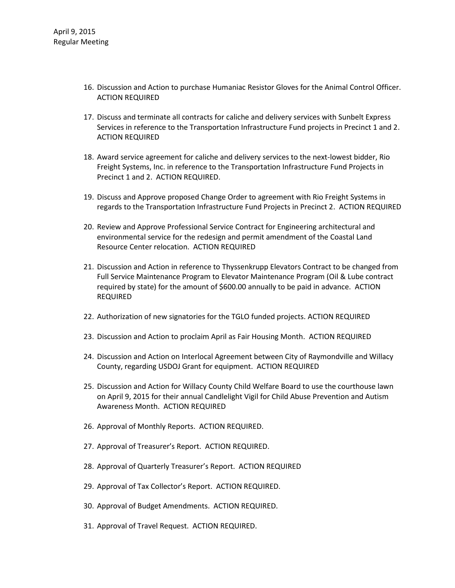- 16. Discussion and Action to purchase Humaniac Resistor Gloves for the Animal Control Officer. ACTION REQUIRED
- 17. Discuss and terminate all contracts for caliche and delivery services with Sunbelt Express Services in reference to the Transportation Infrastructure Fund projects in Precinct 1 and 2. ACTION REQUIRED
- 18. Award service agreement for caliche and delivery services to the next-lowest bidder, Rio Freight Systems, Inc. in reference to the Transportation Infrastructure Fund Projects in Precinct 1 and 2. ACTION REQUIRED.
- 19. Discuss and Approve proposed Change Order to agreement with Rio Freight Systems in regards to the Transportation Infrastructure Fund Projects in Precinct 2. ACTION REQUIRED
- 20. Review and Approve Professional Service Contract for Engineering architectural and environmental service for the redesign and permit amendment of the Coastal Land Resource Center relocation. ACTION REQUIRED
- 21. Discussion and Action in reference to Thyssenkrupp Elevators Contract to be changed from Full Service Maintenance Program to Elevator Maintenance Program (Oil & Lube contract required by state) for the amount of \$600.00 annually to be paid in advance. ACTION REQUIRED
- 22. Authorization of new signatories for the TGLO funded projects. ACTION REQUIRED
- 23. Discussion and Action to proclaim April as Fair Housing Month. ACTION REQUIRED
- 24. Discussion and Action on Interlocal Agreement between City of Raymondville and Willacy County, regarding USDOJ Grant for equipment. ACTION REQUIRED
- 25. Discussion and Action for Willacy County Child Welfare Board to use the courthouse lawn on April 9, 2015 for their annual Candlelight Vigil for Child Abuse Prevention and Autism Awareness Month. ACTION REQUIRED
- 26. Approval of Monthly Reports. ACTION REQUIRED.
- 27. Approval of Treasurer's Report. ACTION REQUIRED.
- 28. Approval of Quarterly Treasurer's Report. ACTION REQUIRED
- 29. Approval of Tax Collector's Report. ACTION REQUIRED.
- 30. Approval of Budget Amendments. ACTION REQUIRED.
- 31. Approval of Travel Request. ACTION REQUIRED.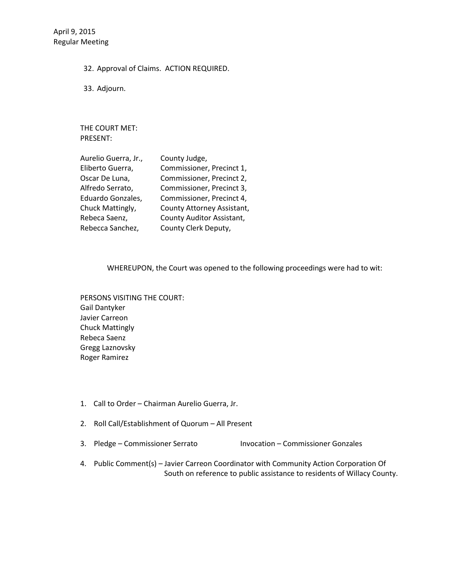32. Approval of Claims. ACTION REQUIRED.

33. Adjourn.

THE COURT MET: PRESENT:

| Aurelio Guerra, Jr., | County Judge,              |
|----------------------|----------------------------|
| Eliberto Guerra,     | Commissioner, Precinct 1,  |
| Oscar De Luna,       | Commissioner, Precinct 2,  |
| Alfredo Serrato,     | Commissioner, Precinct 3,  |
| Eduardo Gonzales,    | Commissioner, Precinct 4,  |
| Chuck Mattingly,     | County Attorney Assistant, |
| Rebeca Saenz,        | County Auditor Assistant,  |
| Rebecca Sanchez,     | County Clerk Deputy,       |

WHEREUPON, the Court was opened to the following proceedings were had to wit:

PERSONS VISITING THE COURT: Gail Dantyker Javier Carreon Chuck Mattingly Rebeca Saenz Gregg Laznovsky Roger Ramirez

- 1. Call to Order Chairman Aurelio Guerra, Jr.
- 2. Roll Call/Establishment of Quorum All Present
- 3. Pledge Commissioner Serrato Invocation Commissioner Gonzales
- 4. Public Comment(s) Javier Carreon Coordinator with Community Action Corporation Of South on reference to public assistance to residents of Willacy County.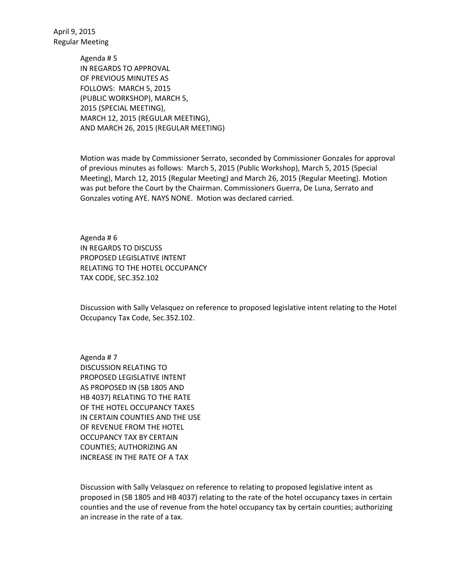> Agenda # 5 IN REGARDS TO APPROVAL OF PREVIOUS MINUTES AS FOLLOWS: MARCH 5, 2015 (PUBLIC WORKSHOP), MARCH 5, 2015 (SPECIAL MEETING), MARCH 12, 2015 (REGULAR MEETING), AND MARCH 26, 2015 (REGULAR MEETING)

Motion was made by Commissioner Serrato, seconded by Commissioner Gonzales for approval of previous minutes as follows: March 5, 2015 (Public Workshop), March 5, 2015 (Special Meeting), March 12, 2015 (Regular Meeting) and March 26, 2015 (Regular Meeting). Motion was put before the Court by the Chairman. Commissioners Guerra, De Luna, Serrato and Gonzales voting AYE. NAYS NONE. Motion was declared carried.

Agenda # 6 IN REGARDS TO DISCUSS PROPOSED LEGISLATIVE INTENT RELATING TO THE HOTEL OCCUPANCY TAX CODE, SEC.352.102

Discussion with Sally Velasquez on reference to proposed legislative intent relating to the Hotel Occupancy Tax Code, Sec.352.102.

Agenda # 7 DISCUSSION RELATING TO PROPOSED LEGISLATIVE INTENT AS PROPOSED IN (SB 1805 AND HB 4037) RELATING TO THE RATE OF THE HOTEL OCCUPANCY TAXES IN CERTAIN COUNTIES AND THE USE OF REVENUE FROM THE HOTEL OCCUPANCY TAX BY CERTAIN COUNTIES; AUTHORIZING AN INCREASE IN THE RATE OF A TAX

Discussion with Sally Velasquez on reference to relating to proposed legislative intent as proposed in (SB 1805 and HB 4037) relating to the rate of the hotel occupancy taxes in certain counties and the use of revenue from the hotel occupancy tax by certain counties; authorizing an increase in the rate of a tax.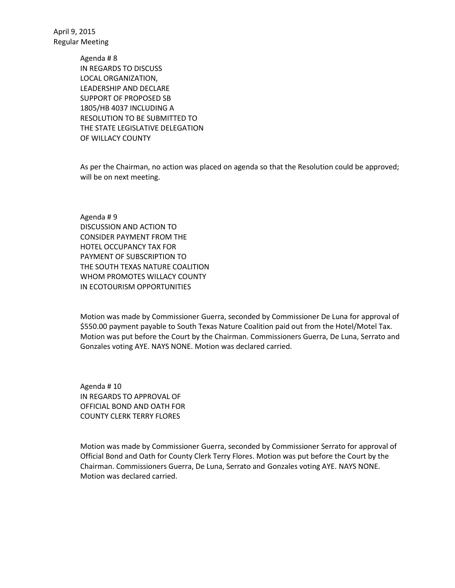> Agenda # 8 IN REGARDS TO DISCUSS LOCAL ORGANIZATION, LEADERSHIP AND DECLARE SUPPORT OF PROPOSED SB 1805/HB 4037 INCLUDING A RESOLUTION TO BE SUBMITTED TO THE STATE LEGISLATIVE DELEGATION OF WILLACY COUNTY

As per the Chairman, no action was placed on agenda so that the Resolution could be approved; will be on next meeting.

Agenda # 9 DISCUSSION AND ACTION TO CONSIDER PAYMENT FROM THE HOTEL OCCUPANCY TAX FOR PAYMENT OF SUBSCRIPTION TO THE SOUTH TEXAS NATURE COALITION WHOM PROMOTES WILLACY COUNTY IN ECOTOURISM OPPORTUNITIES

Motion was made by Commissioner Guerra, seconded by Commissioner De Luna for approval of \$550.00 payment payable to South Texas Nature Coalition paid out from the Hotel/Motel Tax. Motion was put before the Court by the Chairman. Commissioners Guerra, De Luna, Serrato and Gonzales voting AYE. NAYS NONE. Motion was declared carried.

Agenda # 10 IN REGARDS TO APPROVAL OF OFFICIAL BOND AND OATH FOR COUNTY CLERK TERRY FLORES

Motion was made by Commissioner Guerra, seconded by Commissioner Serrato for approval of Official Bond and Oath for County Clerk Terry Flores. Motion was put before the Court by the Chairman. Commissioners Guerra, De Luna, Serrato and Gonzales voting AYE. NAYS NONE. Motion was declared carried.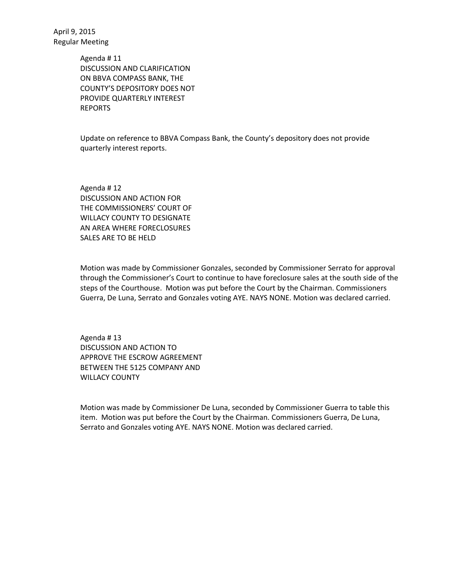> Agenda # 11 DISCUSSION AND CLARIFICATION ON BBVA COMPASS BANK, THE COUNTY'S DEPOSITORY DOES NOT PROVIDE QUARTERLY INTEREST REPORTS

Update on reference to BBVA Compass Bank, the County's depository does not provide quarterly interest reports.

Agenda # 12 DISCUSSION AND ACTION FOR THE COMMISSIONERS' COURT OF WILLACY COUNTY TO DESIGNATE AN AREA WHERE FORECLOSURES SALES ARE TO BE HELD

Motion was made by Commissioner Gonzales, seconded by Commissioner Serrato for approval through the Commissioner's Court to continue to have foreclosure sales at the south side of the steps of the Courthouse. Motion was put before the Court by the Chairman. Commissioners Guerra, De Luna, Serrato and Gonzales voting AYE. NAYS NONE. Motion was declared carried.

Agenda # 13 DISCUSSION AND ACTION TO APPROVE THE ESCROW AGREEMENT BETWEEN THE 5125 COMPANY AND WILLACY COUNTY

Motion was made by Commissioner De Luna, seconded by Commissioner Guerra to table this item. Motion was put before the Court by the Chairman. Commissioners Guerra, De Luna, Serrato and Gonzales voting AYE. NAYS NONE. Motion was declared carried.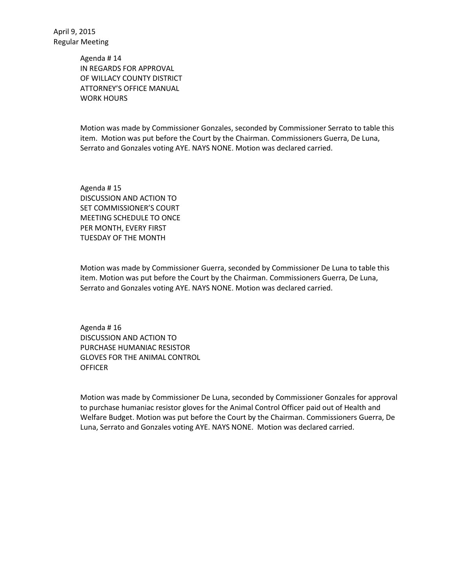> Agenda # 14 IN REGARDS FOR APPROVAL OF WILLACY COUNTY DISTRICT ATTORNEY'S OFFICE MANUAL WORK HOURS

Motion was made by Commissioner Gonzales, seconded by Commissioner Serrato to table this item. Motion was put before the Court by the Chairman. Commissioners Guerra, De Luna, Serrato and Gonzales voting AYE. NAYS NONE. Motion was declared carried.

Agenda # 15 DISCUSSION AND ACTION TO SET COMMISSIONER'S COURT MEETING SCHEDULE TO ONCE PER MONTH, EVERY FIRST TUESDAY OF THE MONTH

Motion was made by Commissioner Guerra, seconded by Commissioner De Luna to table this item. Motion was put before the Court by the Chairman. Commissioners Guerra, De Luna, Serrato and Gonzales voting AYE. NAYS NONE. Motion was declared carried.

Agenda # 16 DISCUSSION AND ACTION TO PURCHASE HUMANIAC RESISTOR GLOVES FOR THE ANIMAL CONTROL **OFFICER** 

Motion was made by Commissioner De Luna, seconded by Commissioner Gonzales for approval to purchase humaniac resistor gloves for the Animal Control Officer paid out of Health and Welfare Budget. Motion was put before the Court by the Chairman. Commissioners Guerra, De Luna, Serrato and Gonzales voting AYE. NAYS NONE. Motion was declared carried.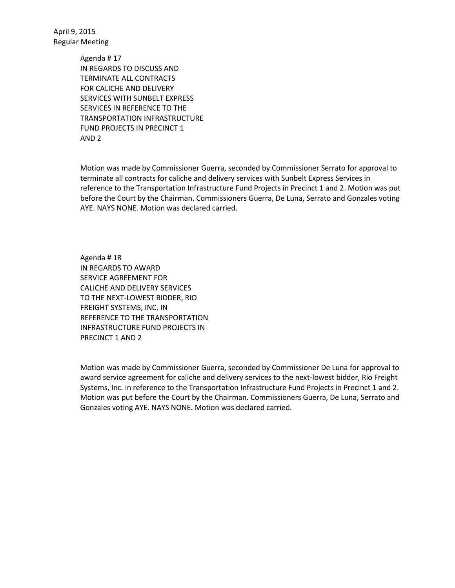> Agenda # 17 IN REGARDS TO DISCUSS AND TERMINATE ALL CONTRACTS FOR CALICHE AND DELIVERY SERVICES WITH SUNBELT EXPRESS SERVICES IN REFERENCE TO THE TRANSPORTATION INFRASTRUCTURE FUND PROJECTS IN PRECINCT 1 AND 2

Motion was made by Commissioner Guerra, seconded by Commissioner Serrato for approval to terminate all contracts for caliche and delivery services with Sunbelt Express Services in reference to the Transportation Infrastructure Fund Projects in Precinct 1 and 2. Motion was put before the Court by the Chairman. Commissioners Guerra, De Luna, Serrato and Gonzales voting AYE. NAYS NONE. Motion was declared carried.

Agenda # 18 IN REGARDS TO AWARD SERVICE AGREEMENT FOR CALICHE AND DELIVERY SERVICES TO THE NEXT-LOWEST BIDDER, RIO FREIGHT SYSTEMS, INC. IN REFERENCE TO THE TRANSPORTATION INFRASTRUCTURE FUND PROJECTS IN PRECINCT 1 AND 2

Motion was made by Commissioner Guerra, seconded by Commissioner De Luna for approval to award service agreement for caliche and delivery services to the next-lowest bidder, Rio Freight Systems, Inc. in reference to the Transportation Infrastructure Fund Projects in Precinct 1 and 2. Motion was put before the Court by the Chairman. Commissioners Guerra, De Luna, Serrato and Gonzales voting AYE. NAYS NONE. Motion was declared carried.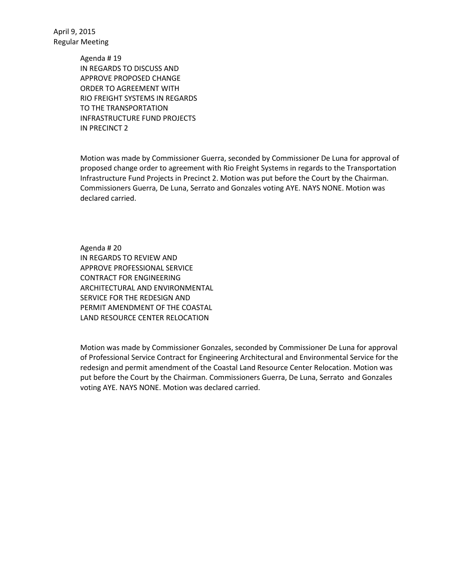> Agenda # 19 IN REGARDS TO DISCUSS AND APPROVE PROPOSED CHANGE ORDER TO AGREEMENT WITH RIO FREIGHT SYSTEMS IN REGARDS TO THE TRANSPORTATION INFRASTRUCTURE FUND PROJECTS IN PRECINCT 2

Motion was made by Commissioner Guerra, seconded by Commissioner De Luna for approval of proposed change order to agreement with Rio Freight Systems in regards to the Transportation Infrastructure Fund Projects in Precinct 2. Motion was put before the Court by the Chairman. Commissioners Guerra, De Luna, Serrato and Gonzales voting AYE. NAYS NONE. Motion was declared carried.

Agenda # 20 IN REGARDS TO REVIEW AND APPROVE PROFESSIONAL SERVICE CONTRACT FOR ENGINEERING ARCHITECTURAL AND ENVIRONMENTAL SERVICE FOR THE REDESIGN AND PERMIT AMENDMENT OF THE COASTAL LAND RESOURCE CENTER RELOCATION

Motion was made by Commissioner Gonzales, seconded by Commissioner De Luna for approval of Professional Service Contract for Engineering Architectural and Environmental Service for the redesign and permit amendment of the Coastal Land Resource Center Relocation. Motion was put before the Court by the Chairman. Commissioners Guerra, De Luna, Serrato and Gonzales voting AYE. NAYS NONE. Motion was declared carried.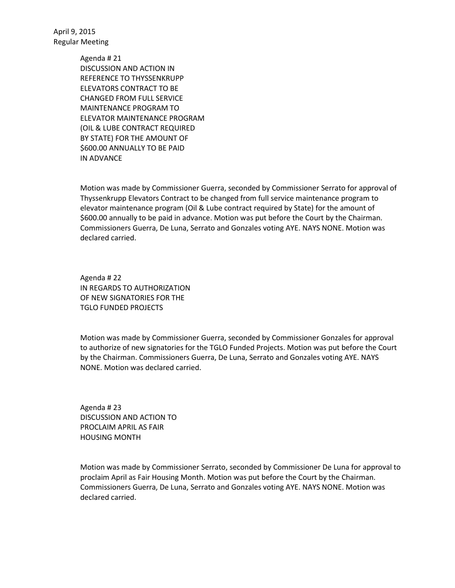> Agenda # 21 DISCUSSION AND ACTION IN REFERENCE TO THYSSENKRUPP ELEVATORS CONTRACT TO BE CHANGED FROM FULL SERVICE MAINTENANCE PROGRAM TO ELEVATOR MAINTENANCE PROGRAM (OIL & LUBE CONTRACT REQUIRED BY STATE) FOR THE AMOUNT OF \$600.00 ANNUALLY TO BE PAID IN ADVANCE

Motion was made by Commissioner Guerra, seconded by Commissioner Serrato for approval of Thyssenkrupp Elevators Contract to be changed from full service maintenance program to elevator maintenance program (Oil & Lube contract required by State) for the amount of \$600.00 annually to be paid in advance. Motion was put before the Court by the Chairman. Commissioners Guerra, De Luna, Serrato and Gonzales voting AYE. NAYS NONE. Motion was declared carried.

Agenda # 22 IN REGARDS TO AUTHORIZATION OF NEW SIGNATORIES FOR THE TGLO FUNDED PROJECTS

Motion was made by Commissioner Guerra, seconded by Commissioner Gonzales for approval to authorize of new signatories for the TGLO Funded Projects. Motion was put before the Court by the Chairman. Commissioners Guerra, De Luna, Serrato and Gonzales voting AYE. NAYS NONE. Motion was declared carried.

Agenda # 23 DISCUSSION AND ACTION TO PROCLAIM APRIL AS FAIR HOUSING MONTH

Motion was made by Commissioner Serrato, seconded by Commissioner De Luna for approval to proclaim April as Fair Housing Month. Motion was put before the Court by the Chairman. Commissioners Guerra, De Luna, Serrato and Gonzales voting AYE. NAYS NONE. Motion was declared carried.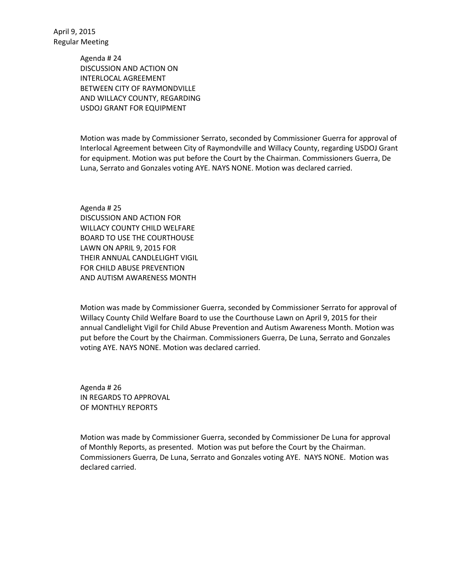> Agenda # 24 DISCUSSION AND ACTION ON INTERLOCAL AGREEMENT BETWEEN CITY OF RAYMONDVILLE AND WILLACY COUNTY, REGARDING USDOJ GRANT FOR EQUIPMENT

Motion was made by Commissioner Serrato, seconded by Commissioner Guerra for approval of Interlocal Agreement between City of Raymondville and Willacy County, regarding USDOJ Grant for equipment. Motion was put before the Court by the Chairman. Commissioners Guerra, De Luna, Serrato and Gonzales voting AYE. NAYS NONE. Motion was declared carried.

Agenda # 25 DISCUSSION AND ACTION FOR WILLACY COUNTY CHILD WELFARE BOARD TO USE THE COURTHOUSE LAWN ON APRIL 9, 2015 FOR THEIR ANNUAL CANDLELIGHT VIGIL FOR CHILD ABUSE PREVENTION AND AUTISM AWARENESS MONTH

Motion was made by Commissioner Guerra, seconded by Commissioner Serrato for approval of Willacy County Child Welfare Board to use the Courthouse Lawn on April 9, 2015 for their annual Candlelight Vigil for Child Abuse Prevention and Autism Awareness Month. Motion was put before the Court by the Chairman. Commissioners Guerra, De Luna, Serrato and Gonzales voting AYE. NAYS NONE. Motion was declared carried.

Agenda # 26 IN REGARDS TO APPROVAL OF MONTHLY REPORTS

Motion was made by Commissioner Guerra, seconded by Commissioner De Luna for approval of Monthly Reports, as presented. Motion was put before the Court by the Chairman. Commissioners Guerra, De Luna, Serrato and Gonzales voting AYE. NAYS NONE. Motion was declared carried.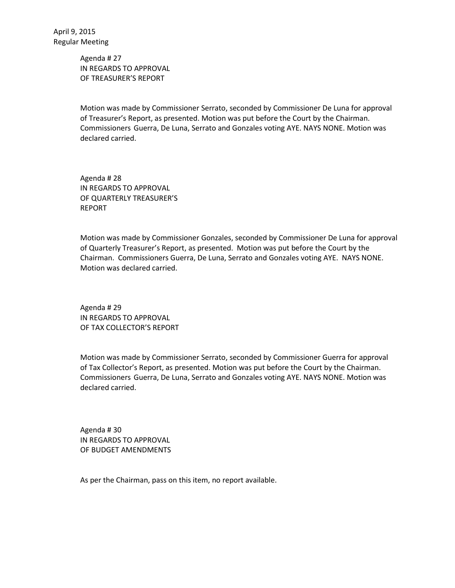Agenda # 27 IN REGARDS TO APPROVAL OF TREASURER'S REPORT

Motion was made by Commissioner Serrato, seconded by Commissioner De Luna for approval of Treasurer's Report, as presented. Motion was put before the Court by the Chairman. Commissioners Guerra, De Luna, Serrato and Gonzales voting AYE. NAYS NONE. Motion was declared carried.

Agenda # 28 IN REGARDS TO APPROVAL OF QUARTERLY TREASURER'S REPORT

Motion was made by Commissioner Gonzales, seconded by Commissioner De Luna for approval of Quarterly Treasurer's Report, as presented. Motion was put before the Court by the Chairman. Commissioners Guerra, De Luna, Serrato and Gonzales voting AYE. NAYS NONE. Motion was declared carried.

Agenda # 29 IN REGARDS TO APPROVAL OF TAX COLLECTOR'S REPORT

Motion was made by Commissioner Serrato, seconded by Commissioner Guerra for approval of Tax Collector's Report, as presented. Motion was put before the Court by the Chairman. Commissioners Guerra, De Luna, Serrato and Gonzales voting AYE. NAYS NONE. Motion was declared carried.

Agenda # 30 IN REGARDS TO APPROVAL OF BUDGET AMENDMENTS

As per the Chairman, pass on this item, no report available.